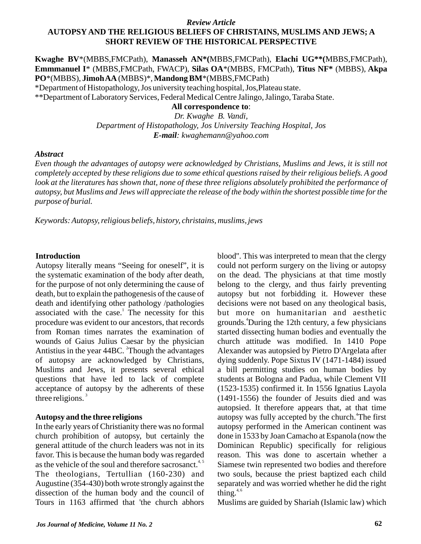# *Review Article* **AUTOPSY AND THE RELIGIOUS BELIEFS OF CHRISTAINS, MUSLIMS AND JEWS; A SHORT REVIEW OF THE HISTORICAL PERSPECTIVE**

**Kwaghe BV**\*(MBBS,FMCPath), **Manasseh AN\*(**MBBS,FMCPath), **Elachi UG\*\*(**MBBS,FMCPath), **Emmmanuel I**\* (MBBS,FMCPath, FWACP), **Silas OA**\*(MBBS, FMCPath), **Titus NF\*** (MBBS), **Akpa PO**\*(MBBS), **Jimoh AA** (MBBS)\*,**Mandong BM**\*(MBBS,FMCPath)

\*Department of Histopathology, Jos university teaching hospital, Jos,Plateau state.

\*\*Department of Laboratory Services, Federal Medical Centre Jalingo, Jalingo, Taraba State.

**All correspondence to**:

*Dr. Kwaghe B. Vandi, Department of Histopathology, Jos University Teaching Hospital, Jos E-mail: kwaghemann@yahoo.com*

### *Abstract*

*Even though the advantages of autopsy were acknowledged by Christians, Muslims and Jews, it is still not completely accepted by these religions due to some ethical questions raised by their religious beliefs. A good*  look at the literatures has shown that, none of these three religions absolutely prohibited the performance of *autopsy, but Muslims and Jews will appreciate the release of the body within the shortest possible time for the purpose of burial.*

*Keywords:Autopsy, religious beliefs, history, christains, muslims, jews*

### **Introduction**

Autopsy literally means "Seeing for oneself", it is the systematic examination of the body after death, for the purpose of not only determining the cause of death, but to explain the pathogenesis of the cause of death and identifying other pathology /pathologies associated with the case.<sup>1</sup> The necessity for this procedure was evident to our ancestors, that records from Roman times narrates the examination of wounds of Gaius Julius Caesar by the physician Antistius in the year  $44BC$ . Though the advantages of autopsy are acknowledged by Christians, Muslims and Jews, it presents several ethical questions that have led to lack of complete acceptance of autopsy by the adherents of these three religions. $3$ 

## **Autopsy and the three religions**

In the early years of Christianity there was no formal church prohibition of autopsy, but certainly the general attitude of the church leaders was not in its favor. This is because the human body was regarded as the vehicle of the soul and therefore sacrosanct.<sup>4, 5</sup> The theologians, Tertullian (160-230) and Augustine (354-430) both wrote strongly against the dissection of the human body and the council of Tours in 1163 affirmed that 'the church abhors blood''. This was interpreted to mean that the clergy could not perform surgery on the living or autopsy on the dead. The physicians at that time mostly belong to the clergy, and thus fairly preventing autopsy but not forbidding it. However these decisions were not based on any theological basis, but more on humanitarian and aesthetic grounds.<sup>4</sup>During the 12th century, a few physicians started dissecting human bodies and eventually the church attitude was modified. In 1410 Pope Alexander was autopsied by Pietro D'Argelata after dying suddenly. Pope Sixtus IV (1471-1484) issued a bill permitting studies on human bodies by students at Bologna and Padua, while Clement VII (1523-1535) confirmed it. In 1556 Ignatius Layola (1491-1556) the founder of Jesuits died and was autopsied. It therefore appears that, at that time autopsy was fully accepted by the church.<sup>4</sup>The first autopsy performed in the American continent was done in 1533 by Joan Camacho at Espanola (now the Dominican Republic) specifically for religious reason. This was done to ascertain whether a Siamese twin represented two bodies and therefore two souls, because the priest baptized each child separately and was worried whether he did the right thing. $4,6$ 

Muslims are guided by Shariah (Islamic law) which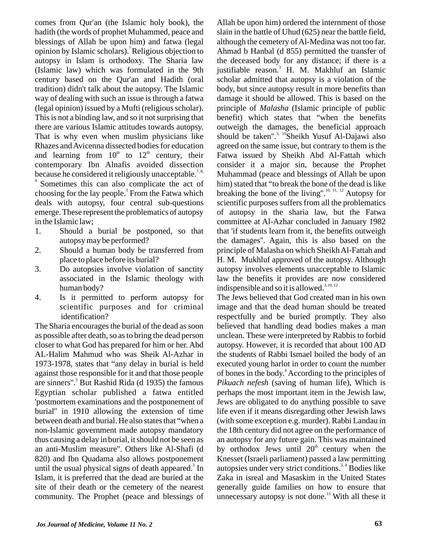comes from Qur'an (the Islamic holy book), the hadith (the words of prophet Muhammed, peace and blessings of Allah be upon him) and fatwa (legal opinion by Islamic scholars). Religious objection to autopsy in Islam is orthodoxy. The Sharia law (Islamic law) which was formulated in the 9th century based on the Qur'an and Hadith (oral tradition) didn't talk about the autopsy. The Islamic way of dealing with such an issue is through a fatwa (legal opinion) issued by a Mufti (religious scholar). This is not a binding law, and so it not surprising that there are various Islamic attitudes towards autopsy. That is why even when muslim physicians like Rhazes and Avicenna dissected bodies for education and learning from  $10<sup>th</sup>$  to  $12<sup>th</sup>$  century, their contemporary Ibn Alnafis avoided dissection because he considered it religiously unacceptable.<sup>7,8,</sup> <sup>9</sup> Sometimes this can also complicate the act of

choosing for the lay people.<sup>3</sup> From the Fatwa which deals with autopsy, four central sub-questions emerge. These represent the problematics of autopsy in the Islamic law;

- 1. Should a burial be postponed, so that autopsy may be performed?
- 2. Should a human body be transferred from place to place before its burial?
- 3. Do autopsies involve violation of sanctity associated in the Islamic theology with human body?
- 4. Is it permitted to perform autopsy for scientific purposes and for criminal identification?

The Sharia encourages the burial of the dead as soon as possible after death, so as to bring the dead person closer to what God has prepared for him or her. Abd AL-Halim Mahmud who was Sheik Al-Azhar in 1973-1978, states that "any delay in burial is held against those responsible for it and that those people are sinners".<sup>3</sup> But Rashid Rida (d 1935) the famous Egyptian scholar published a fatwa entitled 'postmortem examinations and the postponement of burial'' in 1910 allowing the extension of time between death and burial. He also states that "when a non-Islamic government made autopsy mandatory thus causing a delay in burial, it should not be seen as an anti-Muslim measure''. Others like Al-Shafi (d 820) and Ibn Quadama also allows postponement until the usual physical signs of death appeared.<sup>3</sup> In Islam, it is preferred that the dead are buried at the site of their death or the cemetery of the nearest community. The Prophet (peace and blessings of

Allah be upon him) ordered the internment of those slain in the battle of Uhud (625) near the battle field, although the cemetery of Al-Medina was not too far. Ahmad b Hanbal (d 855) permitted the transfer of the deceased body for any distance; if there is a justifiable reason.<sup>3</sup> H. M. Makhluf an Islamic scholar admitted that autopsy is a violation of the body, but since autopsy result in more benefits than damage it should be allowed. This is based on the principle of *Malasha* (Islamic principle of public benefit) which states that "when the benefits outweigh the damages, the beneficial approach should be taken".<sup>3, 10</sup> Sheikh Yusuf Al-Dajawi also agreed on the same issue, but contrary to them is the Fatwa issued by Sheikh Abd Al-Fattah which consider it a major sin, because the Prophet Muhammad (peace and blessings of Allah be upon him) stated that "to break the bone of the dead is like breaking the bone of the living".<sup>10, 11, 12</sup> Autopsy for scientific purposes suffers from all the problematics of autopsy in the sharia law, but the Fatwa committee at Al-Azhar concluded in January 1982 that 'if students learn from it, the benefits outweigh the damages''. Again, this is also based on the principle of Malasha on which Sheikh Al-Fattah and H. M. Mukhluf approved of the autopsy. Although autopsy involves elements unacceptable to Islamic law the benefits it provides are now considered indispensible and so it is allowed.<sup>3, 10, 12</sup>

The Jews believed that God created man in his own image and that the dead human should be treated respectfully and be buried promptly. They also believed that handling dead bodies makes a man unclean. These were interpreted by Rabbis to forbid autopsy. However, it is recorded that about 100 AD the students of Rabbi Ismael boiled the body of an executed young harlot in order to count the number of bones in the body.<sup>4</sup> According to the principles of *Pikuach nefesh* (saving of human life), Which is perhaps the most important item in the Jewish law, Jews are obligated to do anything possible to save life even if it means disregarding other Jewish laws (with some exception e.g. murder). Rabbi Landau in the 18th century did not agree on the performance of an autopsy for any future gain. This was maintained by orthodox Jews until  $20<sup>th</sup>$  century when the Knesset (Israeli parliament) passed a law permitting autopsies under very strict conditions.<sup>3,4</sup> Bodies like Zaka in isreal and Masaskim in the United States generally guide families on how to ensure that unnecessary autopsy is not done.<sup>13</sup> With all these it